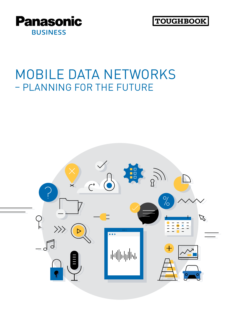



### MOBILE DATA NETWORKS – PLANNING FOR THE FUTURE

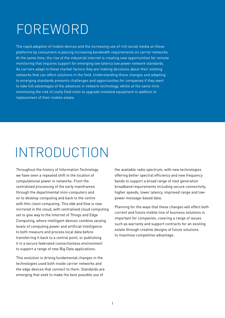### FOREWORD

The rapid adoption of mobile devices and the increasing use of rich social media on those platforms by consumers is placing increasing bandwidth requirements on carrier networks. At the same time, the rise of the industrial internet is creating new opportunities for remote monitoring that requires support for emerging low latency low power network standards. As carriers adapt to these market factors they are making decisions about their existing networks that can affect solutions in the field. Understanding these changes and adapting to emerging standards presents challenges and opportunities for companies if they want to take full advantages of the advances in network technology, whilst at the same time minimising the risk of costly field visits to upgrade installed equipment in addition to replacement of their mobile estate.

# INTRODUCTION

Throughout the history of Information Technology we have seen a repeated shift in the location of computational power in networks. From the centralised processing of the early mainframes through the departmental mini-computers and on to desktop computing and back to the centre with thin client computing. This ebb and flow is now mirrored in the cloud, with centralised cloud computing set to give way to the Internet of Things and Edge Computing, where intelligent devices combine varying levels of computing power and artificial Intelligence to both measure and process local data before transferring it back to a central point, or publishing it in a secure federated connectionless environment to support a range of new Big Data applications.

This evolution is driving fundamental changes in the technologies used both inside carrier networks and the edge devices that connect to them. Standards are emerging that seek to make the best possible use of

the available radio spectrum, with new technologies offering better spectral efficiency and new frequency bands to support a broad range of next generation broadband requirements including secure connectivity, higher speeds, lower latency, improved range and lowpower message-based data.

Planning for the ways that these changes will effect both current and future mobile line of business solutions is important for companies, covering a range of issues such as warranty and support contracts for an existing estate through creative designs of future solutions to maximise competitive advantage.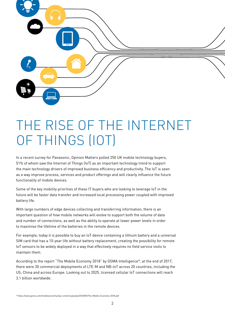

## THE RISE OF THE INTERNET OF THINGS (IOT)

In a recent survey for Panasonic, Opinion Matters polled 250 UK mobile technology buyers, 51% of whom saw the Internet of Things (IoT) as an important technology trend to support the main technology drivers of improved business efficiency and productivity. The IoT is seen as a way improve process, services and product offerings and will clearly influence the future functionality of mobile devices.

Some of the key mobility priorities of these IT buyers who are looking to leverage IoT in the future will be faster data transfer and increased local processing power coupled with improved battery life.

With large numbers of edge devices collecting and transferring information, there is an important question of how mobile networks will evolve to support both the volume of data and number of connections, as well as the ability to operate at lower power levels in order to maximise the lifetime of the batteries in the remote devices.

For example, today it is possible to buy an IoT device containing a lithium battery and a universal SIM card that has a 10-year life without battery replacement, creating the possibility for remote IoT sensors to be widely deployed in a way that effectively requires no field service visits to maintain them.

According to the report "The Mobile Economy 2018" by GSMA Intelligence\*, at the end of 2017, there were 30 commercial deployments of LTE-M and NB-IoT across 20 countries, including the US, China and across Europe. Looking out to 2025, licensed cellular IoT connections will reach 3.1 billion worldwide.

<sup>\*</sup> <https://www.gsma.com/mobileeconomy/wp-content/uploads/2018/05/The-Mobile-Economy-2018.pdf>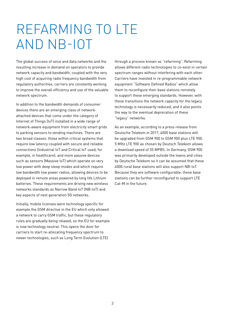### REFARMING TO LTE AND NB-IOT

The global success of voice and data networks and the resulting increase in demand on operators to provide network capacity and bandwidth, coupled with the very high cost of acquiring radio frequency bandwidth from regulatory authorities, carriers are constantly working to improve the overall efficiency and use of the valuable network spectrum.

In addition to the bandwidth demands of consumer devices there are an emerging class of networkattached devices that come under the category of Internet of Things (IoT) installed in a wide range of network-aware equipment from electricity smart grids to parking sensors to vending machines. There are two broad classes: those within critical systems that require low latency coupled with secure and reliable connections (Industrial IoT and Critical IoT used, for example, in healthcare); and more passive devices such as sensors (Massive IoT) which operate on very low power with deep sleep modes and which require low bandwidth low power radios, allowing devices to be deployed in remote areas powered by long life Lithium batteries. These requirements are driving new wireless networks standards as Narrow Band IoT (NB-IoT) and key aspects of next generation 5G networks.

Initially, mobile licenses were technology specific for example the GSM directive in the EU which only allowed a network to carry GSM traffic, but these regulatory rules are gradually being relaxed, so the EU for example is now technology neutral. This opens the door for carriers to start re-allocating frequency spectrum to newer technologies, such as Long Term Evolution (LTE)

through a process known as "refarming". Refarming allows different radio technologies to co-exist in certain spectrum ranges without interfering with each other. Carriers have invested in re-programmable network equipment "Software Defined Radios" which allow them to reconfigure their base stations remotely to support these emerging standards. However, with these transitions the network capacity for the legacy technology is necessarily reduced, and it also points the way to the eventual deprecation of these "legacy" networks.

As an example, according to a press release from Deutsche Telekom in 2017, 4000 base stations will be upgraded from GSM 900 to GSM 900 plus LTE 900. 5 MHz LTE 900 as chosen by Deutsch Telekom allows a download speed of 35 MPBS. In Germany, GSM 900 was primarily developed outside the towns and cities by Deutsche Telekom so it can be assumed that these 4000 rural base stations will also support NB-IoT. Because they are software configurable, these base stations can be further reconfigured to support LTE Cat-M in the future.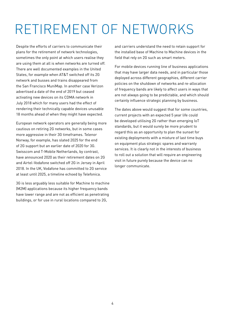# RETIREMENT OF NETWORKS

Despite the efforts of carriers to communicate their plans for the retirement of network technologies, sometimes the only point at which users realise they are using them at all is when networks are turned off. There are well documented examples in the United States, for example when AT&T switched off its 2G network and busses and trains disappeared from the San Francisco MuniMap. In another case Verizon advertised a date of the end of 2019 but ceased activating new devices on its CDMA network in July 2018 which for many users had the effect of rendering their technically capable devices unusable 18 months ahead of when they might have expected.

European network operators are generally being more cautious on retiring 2G networks, but in some cases more aggressive in their 3G timeframes. Telenor Norway, for example, has slated 2025 for the end of 2G support but an earlier date of 2020 for 3G. Swisscom and T-Mobile Netherlands, by contrast, have announced 2020 as their retirement dates on 2G and Airtel-Vodafone switched off 2G in Jersey in April 2018. In the UK, Vodafone has committed to 2G service at least until 2025, a timeline echoed by Telefonica.

3G is less arguably less suitable for Machine to machine (M2M) applications because its higher frequency bands have lower range and are not as efficient as penetrating buildings, or for use in rural locations compared to 2G,

and carriers understand the need to retain support for the installed base of Machine to Machine devices in the field that rely on 2G such as smart meters.

For mobile devices running line of business applications that may have larger data needs, and in particular those deployed across different geographies, different carrier policies on the shutdown of networks and re-allocation of frequency bands are likely to affect users in ways that are not always going to be predictable, and which should certainly influence strategic planning by business.

The dates above would suggest that for some countries, current projects with an expected 5 year life could be developed utilising 2G rather than emerging IoT standards, but it would surely be more prudent to regard this as an opportunity to plan the sunset for existing deployments with a mixture of last time buys on equipment plus strategic spares and warranty services. It is clearly not in the interests of business to roll out a solution that will require an engineering visit in future purely because the device can no longer communicate.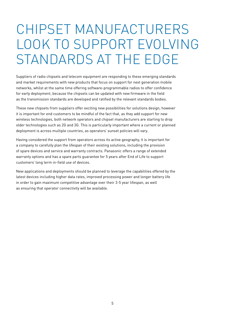### CHIPSET MANUFACTURERS LOOK TO SUPPORT EVOLVING STANDARDS AT THE EDGE

Suppliers of radio chipsets and telecom equipment are responding to these emerging standards and market requirements with new products that focus on support for next generation mobile networks, whilst at the same time offering software-programmable radios to offer confidence for early deployment, because the chipsets can be updated with new firmware in the field as the transmission standards are developed and ratified by the relevant standards bodies.

These new chipsets from suppliers offer exciting new possibilities for solutions design, however it is important for end customers to be mindful of the fact that, as they add support for new wireless technologies, both network operators and chipset manufacturers are starting to drop older technologies such as 2G and 3G. This is particularly important where a current or planned deployment is across multiple countries, as operators' sunset policies will vary.

Having considered the support from operators across its active geography, it is important for a company to carefully plan the lifespan of their existing solutions, including the provision of spare devices and service and warranty contracts. Panasonic offers a range of extended warranty options and has a spare parts guarantee for 5 years after End of Life to support customers' long term in-field use of devices.

New applications and deployments should be planned to leverage the capabilities offered by the latest devices including higher data rates, improved processing power and longer battery life in order to gain maximum competitive advantage over their 3-5 year lifespan, as well as ensuring that operator connectivity will be available.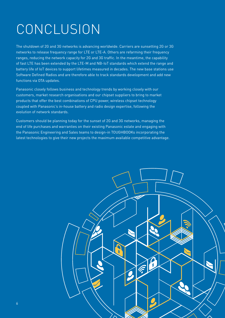# **CONCLUSION**

The shutdown of 2G and 3G networks is advancing worldwide. Carriers are sunsetting 2G or 3G networks to release frequency range for LTE or LTE-A. Others are refarming their frequency ranges, reducing the network capacity for 2G and 3G traffic. In the meantime, the capability of fast LTE has been extended by the LTE-M and NB-IoT standards which extend the range and battery life of IoT devices to support lifetimes measured in decades. The new base stations use Software Defined Radios and are therefore able to track standards development and add new functions via OTA updates.

Panasonic closely follows business and technology trends by working closely with our customers, market research organisations and our chipset suppliers to bring to market products that offer the best combinations of CPU power, wireless chipset technology coupled with Panasonic's in-house battery and radio design expertise, following the evolution of network standards.

Customers should be planning today for the sunset of 2G and 3G networks, managing the end of life purchases and warranties on their existing Panasonic estate and engaging with the Panasonic Engineering and Sales teams to design-in TOUGHBOOKs incorporating the latest technologies to give their new projects the maximum available competitive advantage.

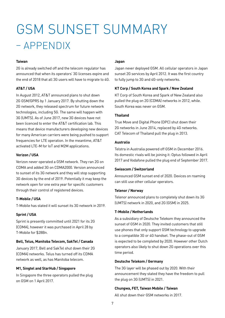### GSM SUNSET SUMMARY – APPENDIX

#### **Taiwan**

2G is already switched off and the telecom regulator has announced that when its operators' 3G licenses expire and the end of 2018 that all 3G users will have to migrate to 4G.

#### **AT&T / USA**

In August 2012, AT&T announced plans to shut down 2G GSM/GPRS by 1 January 2017. By shutting down the 2G network, they released spectrum for future network technologies, including 5G. The same will happen with 3G (UMTS). As of June 2017, new 3G devices have not been licenced to enter the AT&T certification lab. This means that device manufacturers developing new devices for many American carriers were being pushed to support frequencies for LTE operation. In the meantime, AT&T activated LTE-M for IoT and M2M applications.

#### **Verizon / USA**

Verizon never operated a GSM network. They ran 2G on CDMA and added 3G on CDMA2000. Version announced to sunset of its 3G network and they will stop supporting 3G devices by the end of 2019. Potentially it may keep the network open for one extra year for specific customers through their control of registered devices.

#### **T-Mobile / USA**

T-Mobile has stated it will sunset its 3G network in 2019.

#### **Sprint / USA**

Sprint is presently committed until 2021 for its 2G (CDMA), however it was purchased in April 28 by T-Mobile for \$28Bn.

#### **Bell, Telus, Manitoba Telecom, SakTel / Canada**

January 2017, Bell and SakTel shut down their 2G (CDMA) networks. Telus has turned off its CDMA network as well, as has Manitoba telecom.

#### **M1, Singtel and StarHub / Singapore**

In Singapore the three operators pulled the plug on GSM on 1 April 2017.

#### **Japan**

Japan never deployed GSM. All cellular operators in Japan sunset 2G services by April 2012. It was the first country to fully jump to 3G and 4G-only networks.

#### **KT Corp / South Korea and Spark / New Zealand**

KT Corp of South Korea and Spark of New Zealand also pulled the plug on 2G (CDMA) networks in 2012, while. South Korea was never on GSM.

#### **Thailand**

True Move and Digital Phone (DPC) shut down their 2G networks in June 2014, replaced by 4G networks. CAT Telecom of Thailand pull the plug in 2013.

#### **Australia**

Telstra in Australia powered off GSM in December 2016. Its domestic rivals will be joining it: Optus followed in April 2017 and Vodafone pulled the plug end of September 2017.

#### **Swisscom / Switzerland**

Announced GSM sunset end of 2020. Devices on roaming can still use other cellular operators.

#### **Telenor / Norway**

Telenor announced plans to completely shut down its 3G (UMTS) network in 2020, and 2G (GSM) in 2025.

#### **T-Mobile / Netherlands**

As a subsidiary of Deutsche Telekom they announced the sunset of GSM in 2020. They invited customers that still use phones that only support GSM technology to upgrade to a compatible 3G or 4G handset. The phase-out of GSM is expected to be completed by 2020. However other Dutch operators also likely to shut down 2G operations over this time period.

#### **Deutsche Telekom / Germany**

The 3G layer will be phased out by 2020. With their announcement they stated they have the freedom to pull the plug on 3G (UMTS) in 2021.

#### **Chungwa, FET, Taiwan Mobile / Taiwan**

All shut down their GSM networks in 2017.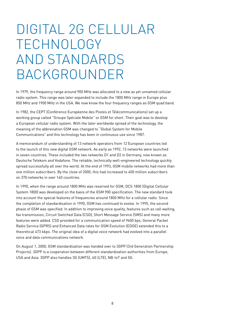### DIGITAL 2G CELLULAR TECHNOLOGY AND STANDARDS BACKGROUNDER

In 1979, the frequency range around 900 MHz was allocated to a new as yet unnamed cellular radio system. This range was later expanded to include the 1800 MHz range in Europe plus 850 MHz and 1900 MHz in the USA. We now know the four frequency ranges as GSM quad band.

In 1982, the CEPT (Conférence Européenne des Postes et Télécommunications) set up a working group called "Groupe Spéciale Mobile" or GSM for short. Their goal was to develop a European cellular radio system. With the later worldwide spread of the technology, the meaning of the abbreviation GSM was changed to "Global System for Mobile Communications" and this technology has been in continuous use since 1987.

A memorandum of understanding of 13 network operators from 12 European countries led to the launch of this new digital GSM network. As early as 1992, 13 networks were launched in seven countries. These included the two networks D1 and D2 in Germany, now known as Deutsche Telekom and Vodafone. The reliable, technically well-engineered technology quickly spread successfully all over the world. At the end of 1993, GSM mobile networks had more than one million subscribers. By the close of 2000, this had increased to 400 million subscribers on 370 networks in over 140 countries.

In 1990, when the range around 1800 MHz was reserved for GSM, DCS 1800 (Digital Cellular System 1800) was developed on the basis of the GSM 900 specification. The new standard took into account the special features of frequencies around 1800 MHz for a cellular radio. Since the completion of standardisation in 1990, GSM has continued to evolve. In 1995, the second phase of GSM was specified. In addition to improving voice quality, features such as call waiting, fax transmission, Circuit Switched Data (CSD), Short Message Service (SMS) and many more features were added. CSD provided for a communication speed of 9600 bps, General Packet Radio Service (GPRS) and Enhanced Data rates for GSM Evolution (EDGE) extended this to a theoretical 473 kbps. The original idea of a digital voice network had evolved into a parallel voice and data communications network.

On August 1, 2000, GSM standardization was handed over to 3GPP (3rd Generation Partnership Projects). 3GPP is a cooperation between different standardization authorities from Europe, USA and Asia. 3GPP also handles 3G (UMTS), 4G (LTE), NB-IoT and 5G.